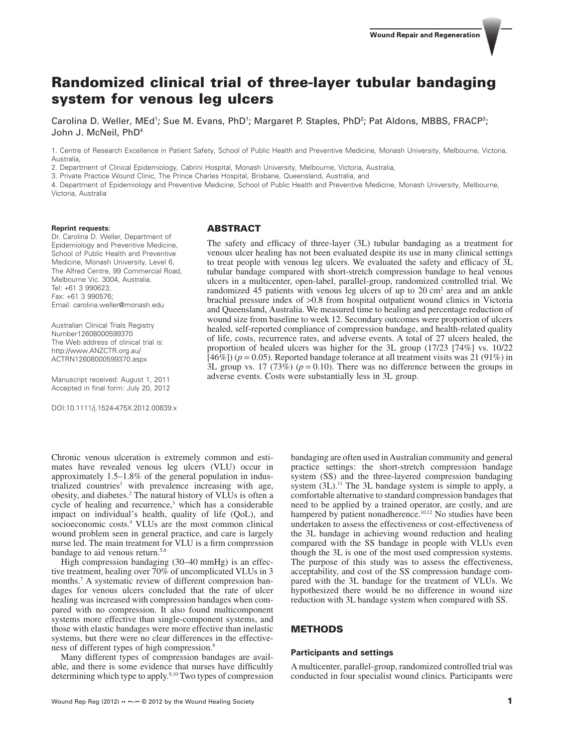# **Randomized clinical trial of three-layer tubular bandaging system for venous leg ulcers**

Carolina D. Weller, MEd<sup>1</sup>; Sue M. Evans, PhD<sup>1</sup>; Margaret P. Staples, PhD<sup>2</sup>; Pat Aldons, MBBS, FRACP<sup>3</sup>; John J. McNeil, PhD4

1. Centre of Research Excellence in Patient Safety, School of Public Health and Preventive Medicine, Monash University, Melbourne, Victoria, Australia,

2. Department of Clinical Epidemiology, Cabrini Hospital, Monash University, Melbourne, Victoria, Australia,

3. Private Practice Wound Clinic, The Prince Charles Hospital, Brisbane, Queensland, Australia, and

4. Department of Epidemiology and Preventive Medicine, School of Public Health and Preventive Medicine, Monash University, Melbourne, Victoria, Australia

#### **Reprint requests:**

Dr. Carolina D. Weller, Department of Epidemiology and Preventive Medicine, School of Public Health and Preventive Medicine, Monash University, Level 6, The Alfred Centre, 99 Commercial Road, Melbourne Vic. 3004, Australia. Tel: +61 3 990623; Fax: +61 3 990576; Email: carolina.weller@monash.edu

Australian Clinical Trials Registry Number12608000599370 The Web address of clinical trial is: http://www.ANZCTR.org.au/ ACTRN12608000599370.aspx

Manuscript received: August 1, 2011 Accepted in final form: July 20, 2012

DOI:10.1111/j.1524-475X.2012.00839.x

## **ABSTRACT**

The safety and efficacy of three-layer (3L) tubular bandaging as a treatment for venous ulcer healing has not been evaluated despite its use in many clinical settings to treat people with venous leg ulcers. We evaluated the safety and efficacy of 3L tubular bandage compared with short-stretch compression bandage to heal venous ulcers in a multicenter, open-label, parallel-group, randomized controlled trial. We randomized 45 patients with venous leg ulcers of up to  $20 \text{ cm}^2$  area and an ankle brachial pressure index of >0.8 from hospital outpatient wound clinics in Victoria and Queensland, Australia. We measured time to healing and percentage reduction of wound size from baseline to week 12. Secondary outcomes were proportion of ulcers healed, self-reported compliance of compression bandage, and health-related quality of life, costs, recurrence rates, and adverse events. A total of 27 ulcers healed, the proportion of healed ulcers was higher for the 3L group (17/23 [74%] vs. 10/22 [46%]) ( $p = 0.05$ ). Reported bandage tolerance at all treatment visits was 21 (91%) in 3L group vs. 17 (73 $\bar{\psi}$ ) ( $p = 0.10$ ). There was no difference between the groups in adverse events. Costs were substantially less in 3L group.

Chronic venous ulceration is extremely common and estimates have revealed venous leg ulcers (VLU) occur in approximately 1.5–1.8% of the general population in industrialized countries<sup>1</sup> with prevalence increasing with age, obesity, and diabetes.2 The natural history of VLUs is often a cycle of healing and recurrence, $3$  which has a considerable impact on individual's health, quality of life (QoL), and socioeconomic costs.4 VLUs are the most common clinical wound problem seen in general practice, and care is largely nurse led. The main treatment for VLU is a firm compression bandage to aid venous return.<sup>5,6</sup>

High compression bandaging (30–40 mmHg) is an effective treatment, healing over 70% of uncomplicated VLUs in 3 months.7 A systematic review of different compression bandages for venous ulcers concluded that the rate of ulcer healing was increased with compression bandages when compared with no compression. It also found multicomponent systems more effective than single-component systems, and those with elastic bandages were more effective than inelastic systems, but there were no clear differences in the effectiveness of different types of high compression.8

Many different types of compression bandages are available, and there is some evidence that nurses have difficultly determining which type to apply.9,10 Two types of compression

Wound Rep Reg (2012) •• ••–•• © 2012 by the Wound Healing Society **1** 

bandaging are often used in Australian community and general practice settings: the short-stretch compression bandage system (SS) and the three-layered compression bandaging system  $(3L)$ .<sup>11</sup> The  $3L$  bandage system is simple to apply, a comfortable alternative to standard compression bandages that need to be applied by a trained operator, are costly, and are hampered by patient nonadherence.<sup>10,12</sup> No studies have been undertaken to assess the effectiveness or cost-effectiveness of the 3L bandage in achieving wound reduction and healing compared with the SS bandage in people with VLUs even though the 3L is one of the most used compression systems. The purpose of this study was to assess the effectiveness, acceptability, and cost of the SS compression bandage compared with the 3L bandage for the treatment of VLUs. We hypothesized there would be no difference in wound size reduction with 3L bandage system when compared with SS.

## **METHODS**

#### **Participants and settings**

A multicenter, parallel-group, randomized controlled trial was conducted in four specialist wound clinics. Participants were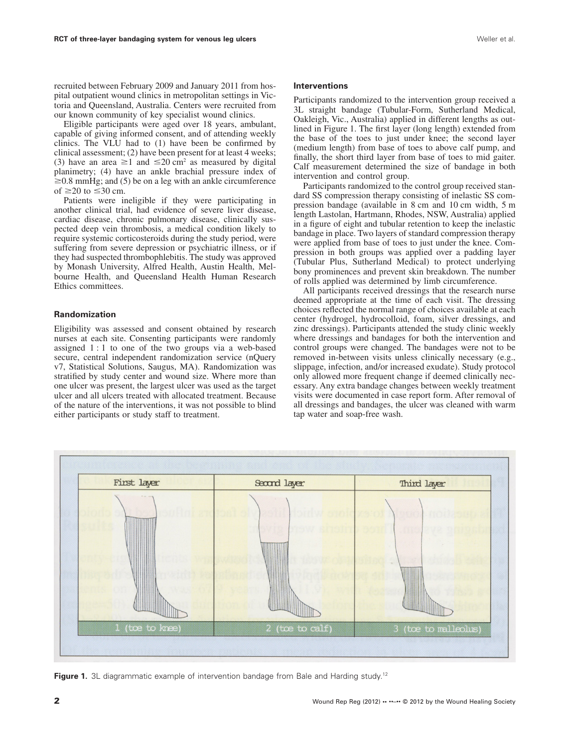recruited between February 2009 and January 2011 from hospital outpatient wound clinics in metropolitan settings in Victoria and Queensland, Australia. Centers were recruited from our known community of key specialist wound clinics.

Eligible participants were aged over 18 years, ambulant, capable of giving informed consent, and of attending weekly clinics. The VLU had to (1) have been be confirmed by clinical assessment; (2) have been present for at least 4 weeks; (3) have an area  $\geq$ 1 and  $\leq$ 20 cm<sup>2</sup> as measured by digital planimetry; (4) have an ankle brachial pressure index of  $\geq$ 0.8 mmHg; and (5) be on a leg with an ankle circumference of  $\geq$ 20 to  $\leq$ 30 cm.

Patients were ineligible if they were participating in another clinical trial, had evidence of severe liver disease, cardiac disease, chronic pulmonary disease, clinically suspected deep vein thrombosis, a medical condition likely to require systemic corticosteroids during the study period, were suffering from severe depression or psychiatric illness, or if they had suspected thrombophlebitis. The study was approved by Monash University, Alfred Health, Austin Health, Melbourne Health, and Queensland Health Human Research Ethics committees.

## **Randomization**

Eligibility was assessed and consent obtained by research nurses at each site. Consenting participants were randomly assigned  $1:1$  to one of the two groups via a web-based secure, central independent randomization service (nQuery v7, Statistical Solutions, Saugus, MA). Randomization was stratified by study center and wound size. Where more than one ulcer was present, the largest ulcer was used as the target ulcer and all ulcers treated with allocated treatment. Because of the nature of the interventions, it was not possible to blind either participants or study staff to treatment.

#### **Interventions**

Participants randomized to the intervention group received a 3L straight bandage (Tubular-Form, Sutherland Medical, Oakleigh, Vic., Australia) applied in different lengths as outlined in Figure 1. The first layer (long length) extended from the base of the toes to just under knee; the second layer (medium length) from base of toes to above calf pump, and finally, the short third layer from base of toes to mid gaiter. Calf measurement determined the size of bandage in both intervention and control group.

Participants randomized to the control group received standard SS compression therapy consisting of inelastic SS compression bandage (available in 8 cm and 10 cm width, 5 m length Lastolan, Hartmann, Rhodes, NSW, Australia) applied in a figure of eight and tubular retention to keep the inelastic bandage in place. Two layers of standard compression therapy were applied from base of toes to just under the knee. Compression in both groups was applied over a padding layer (Tubular Plus, Sutherland Medical) to protect underlying bony prominences and prevent skin breakdown. The number of rolls applied was determined by limb circumference.

All participants received dressings that the research nurse deemed appropriate at the time of each visit. The dressing choices reflected the normal range of choices available at each center (hydrogel, hydrocolloid, foam, silver dressings, and zinc dressings). Participants attended the study clinic weekly where dressings and bandages for both the intervention and control groups were changed. The bandages were not to be removed in-between visits unless clinically necessary (e.g., slippage, infection, and/or increased exudate). Study protocol only allowed more frequent change if deemed clinically necessary. Any extra bandage changes between weekly treatment visits were documented in case report form. After removal of all dressings and bandages, the ulcer was cleaned with warm tap water and soap-free wash.



**Figure 1.** 3L diagrammatic example of intervention bandage from Bale and Harding study.<sup>12</sup>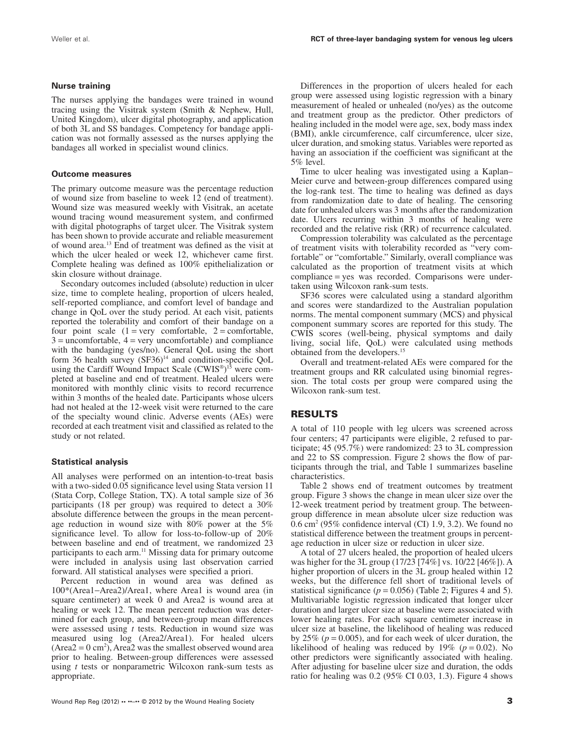#### **Nurse training**

The nurses applying the bandages were trained in wound tracing using the Visitrak system (Smith & Nephew, Hull, United Kingdom), ulcer digital photography, and application of both 3L and SS bandages. Competency for bandage application was not formally assessed as the nurses applying the bandages all worked in specialist wound clinics.

#### **Outcome measures**

The primary outcome measure was the percentage reduction of wound size from baseline to week 12 (end of treatment). Wound size was measured weekly with Visitrak, an acetate wound tracing wound measurement system, and confirmed with digital photographs of target ulcer. The Visitrak system has been shown to provide accurate and reliable measurement of wound area.13 End of treatment was defined as the visit at which the ulcer healed or week 12, whichever came first. Complete healing was defined as 100% epithelialization or skin closure without drainage.

Secondary outcomes included (absolute) reduction in ulcer size, time to complete healing, proportion of ulcers healed, self-reported compliance, and comfort level of bandage and change in QoL over the study period. At each visit, patients reported the tolerability and comfort of their bandage on a four point scale  $(1 = \text{very comfortable}, 2 = \text{comforthable})$  $3 =$  uncomfortable,  $4 =$  very uncomfortable) and compliance with the bandaging (yes/no). General QoL using the short form 36 health survey  $(SF36)^{14}$  and condition-specific QoL using the Cardiff Wound Impact Scale (CWIS<sup>®)15</sup> were completed at baseline and end of treatment. Healed ulcers were monitored with monthly clinic visits to record recurrence within 3 months of the healed date. Participants whose ulcers had not healed at the 12-week visit were returned to the care of the specialty wound clinic. Adverse events (AEs) were recorded at each treatment visit and classified as related to the study or not related.

#### **Statistical analysis**

All analyses were performed on an intention-to-treat basis with a two-sided 0.05 significance level using Stata version 11 (Stata Corp, College Station, TX). A total sample size of 36 participants (18 per group) was required to detect a 30% absolute difference between the groups in the mean percentage reduction in wound size with 80% power at the 5% significance level. To allow for loss-to-follow-up of 20% between baseline and end of treatment, we randomized 23 participants to each arm.<sup>11</sup> Missing data for primary outcome were included in analysis using last observation carried forward. All statistical analyses were specified a priori.

Percent reduction in wound area was defined as 100\*(Area1-Area2)/Area1, where Area1 is wound area (in square centimeter) at week 0 and Area2 is wound area at healing or week 12. The mean percent reduction was determined for each group, and between-group mean differences were assessed using *t* tests. Reduction in wound size was measured using log (Area2/Area1). For healed ulcers  $(Area2 = 0 cm<sup>2</sup>)$ , Area2 was the smallest observed wound area prior to healing. Between-group differences were assessed using *t* tests or nonparametric Wilcoxon rank-sum tests as appropriate.

Differences in the proportion of ulcers healed for each group were assessed using logistic regression with a binary measurement of healed or unhealed (no/yes) as the outcome and treatment group as the predictor. Other predictors of healing included in the model were age, sex, body mass index (BMI), ankle circumference, calf circumference, ulcer size, ulcer duration, and smoking status. Variables were reported as having an association if the coefficient was significant at the 5% level.

Time to ulcer healing was investigated using a Kaplan– Meier curve and between-group differences compared using the log-rank test. The time to healing was defined as days from randomization date to date of healing. The censoring date for unhealed ulcers was 3 months after the randomization date. Ulcers recurring within 3 months of healing were recorded and the relative risk (RR) of recurrence calculated.

Compression tolerability was calculated as the percentage of treatment visits with tolerability recorded as "very comfortable" or "comfortable." Similarly, overall compliance was calculated as the proportion of treatment visits at which compliance = yes was recorded. Comparisons were undertaken using Wilcoxon rank-sum tests.

SF36 scores were calculated using a standard algorithm and scores were standardized to the Australian population norms. The mental component summary (MCS) and physical component summary scores are reported for this study. The CWIS scores (well-being, physical symptoms and daily living, social life, QoL) were calculated using methods obtained from the developers.15

Overall and treatment-related AEs were compared for the treatment groups and RR calculated using binomial regression. The total costs per group were compared using the Wilcoxon rank-sum test.

# **RESULTS**

A total of 110 people with leg ulcers was screened across four centers; 47 participants were eligible, 2 refused to participate; 45 (95.7%) were randomized: 23 to 3L compression and 22 to SS compression. Figure 2 shows the flow of participants through the trial, and Table 1 summarizes baseline characteristics.

Table 2 shows end of treatment outcomes by treatment group. Figure 3 shows the change in mean ulcer size over the 12-week treatment period by treatment group. The betweengroup difference in mean absolute ulcer size reduction was  $0.6$  cm<sup>2</sup> (95% confidence interval (CI) 1.9, 3.2). We found no statistical difference between the treatment groups in percentage reduction in ulcer size or reduction in ulcer size.

A total of 27 ulcers healed, the proportion of healed ulcers was higher for the 3L group (17/23 [74%] vs. 10/22 [46%]). A higher proportion of ulcers in the 3L group healed within 12 weeks, but the difference fell short of traditional levels of statistical significance ( $p = 0.056$ ) (Table 2; Figures 4 and 5). Multivariable logistic regression indicated that longer ulcer duration and larger ulcer size at baseline were associated with lower healing rates. For each square centimeter increase in ulcer size at baseline, the likelihood of healing was reduced by 25% ( $p = 0.005$ ), and for each week of ulcer duration, the likelihood of healing was reduced by 19% ( $p = 0.02$ ). No other predictors were significantly associated with healing. After adjusting for baseline ulcer size and duration, the odds ratio for healing was 0.2 (95% CI 0.03, 1.3). Figure 4 shows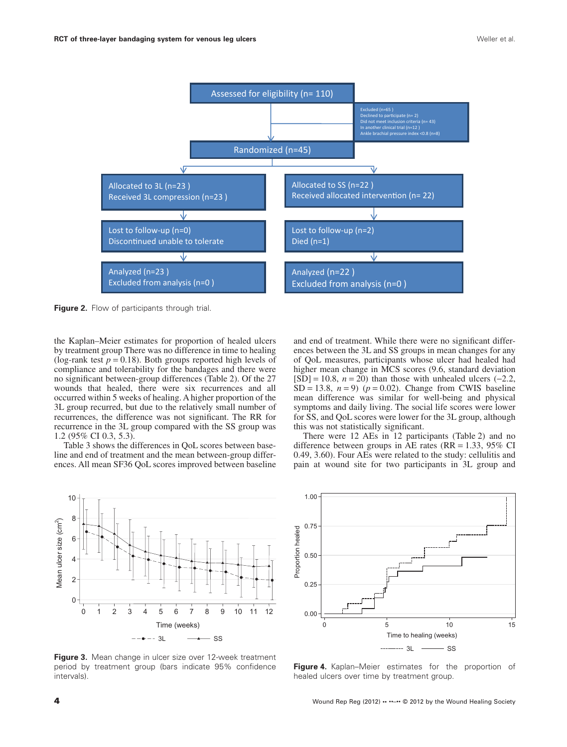

**Figure 2.** Flow of participants through trial.

the Kaplan–Meier estimates for proportion of healed ulcers by treatment group There was no difference in time to healing (log-rank test  $p = 0.18$ ). Both groups reported high levels of compliance and tolerability for the bandages and there were no significant between-group differences (Table 2). Of the 27 wounds that healed, there were six recurrences and all occurred within 5 weeks of healing. A higher proportion of the 3L group recurred, but due to the relatively small number of recurrences, the difference was not significant. The RR for recurrence in the 3L group compared with the SS group was 1.2 (95% CI 0.3, 5.3).

Table 3 shows the differences in QoL scores between baseline and end of treatment and the mean between-group differences. All mean SF36 QoL scores improved between baseline



**Figure 3.** Mean change in ulcer size over 12-week treatment period by treatment group (bars indicate 95% confidence intervals).

and end of treatment. While there were no significant differences between the 3L and SS groups in mean changes for any of QoL measures, participants whose ulcer had healed had higher mean change in MCS scores (9.6, standard deviation  $[SD] = 10.8$ ,  $n = 20$ ) than those with unhealed ulcers  $(-2.2)$ ,  $SD = 13.8$ ,  $n = 9$ ) ( $p = 0.02$ ). Change from CWIS baseline mean difference was similar for well-being and physical symptoms and daily living. The social life scores were lower for SS, and QoL scores were lower for the 3L group, although this was not statistically significant.

There were 12 AEs in 12 participants (Table 2) and no difference between groups in  $\overline{AE}$  rates (RR = 1.33, 95% CI 0.49, 3.60). Four AEs were related to the study: cellulitis and pain at wound site for two participants in 3L group and



**Figure 4.** Kaplan–Meier estimates for the proportion of healed ulcers over time by treatment group.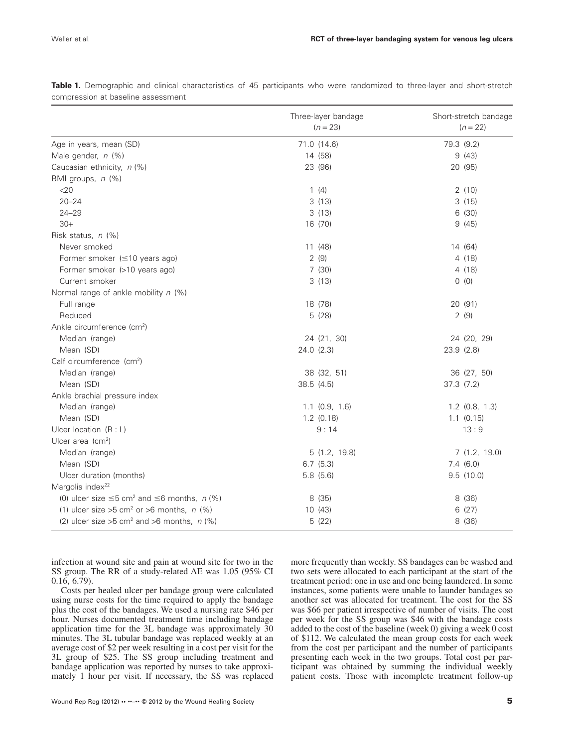|                                                                           | Three-layer bandage<br>$(n = 23)$ | Short-stretch bandage<br>$(n = 22)$ |  |  |
|---------------------------------------------------------------------------|-----------------------------------|-------------------------------------|--|--|
| Age in years, mean (SD)                                                   | 71.0 (14.6)                       | 79.3 (9.2)                          |  |  |
| Male gender, $n$ (%)                                                      | 14 (58)                           | 9(43)                               |  |  |
| Caucasian ethnicity, n (%)                                                | 23 (96)                           | 20 (95)                             |  |  |
| BMI groups, n (%)                                                         |                                   |                                     |  |  |
| $<$ 20                                                                    | 1(4)                              | 2(10)                               |  |  |
| $20 - 24$                                                                 | 3(13)                             | 3(15)                               |  |  |
| $24 - 29$                                                                 | 3(13)                             | 6(30)                               |  |  |
| $30+$                                                                     | 16 (70)                           | 9(45)                               |  |  |
| Risk status, n (%)                                                        |                                   |                                     |  |  |
| Never smoked                                                              | 11 (48)                           | 14 (64)                             |  |  |
| Former smoker (≤10 years ago)                                             | 2(9)                              | 4(18)                               |  |  |
| Former smoker (>10 years ago)                                             | 7(30)                             | 4 (18)                              |  |  |
| Current smoker                                                            | 3(13)                             | 0(0)                                |  |  |
| Normal range of ankle mobility n (%)                                      |                                   |                                     |  |  |
| Full range                                                                | 18 (78)                           | 20 (91)                             |  |  |
| Reduced                                                                   | 5 (28)                            | 2(9)                                |  |  |
| Ankle circumference (cm <sup>2</sup> )                                    |                                   |                                     |  |  |
| Median (range)                                                            | 24 (21, 30)                       | 24 (20, 29)                         |  |  |
| Mean (SD)                                                                 | 24.0(2.3)                         | 23.9 (2.8)                          |  |  |
| Calf circumference (cm <sup>2</sup> )                                     |                                   |                                     |  |  |
| Median (range)                                                            | 38 (32, 51)                       | 36 (27, 50)                         |  |  |
| Mean (SD)                                                                 | 38.5 (4.5)                        | 37.3 (7.2)                          |  |  |
| Ankle brachial pressure index                                             |                                   |                                     |  |  |
| Median (range)                                                            | $1.1$ (0.9, 1.6)                  | $1.2$ (0.8, 1.3)                    |  |  |
| Mean (SD)                                                                 | $1.2$ (0.18)                      | $1.1$ (0.15)                        |  |  |
| Ulcer location $(R: L)$                                                   | 9:14                              | 13:9                                |  |  |
| Ulcer area $\text{ (cm}^2\text{)}$                                        |                                   |                                     |  |  |
| Median (range)                                                            | 5(1.2, 19.8)                      | 7(1.2, 19.0)                        |  |  |
| Mean (SD)                                                                 | $6.7$ $(5.3)$                     | 7.4(6.0)                            |  |  |
| Ulcer duration (months)                                                   | 5.8(5.6)                          | 9.5(10.0)                           |  |  |
| Margolis index <sup>22</sup>                                              |                                   |                                     |  |  |
| (0) ulcer size $\leq$ 5 cm <sup>2</sup> and $\leq$ 6 months, <i>n</i> (%) | 8 (35)                            | 8 (36)                              |  |  |
| (1) ulcer size $>5$ cm <sup>2</sup> or $>6$ months, n (%)                 | 10(43)                            | 6(27)                               |  |  |
| (2) ulcer size $>5$ cm <sup>2</sup> and $>6$ months, $n$ (%)              | 5(22)                             | 8 (36)                              |  |  |

Table 1. Demographic and clinical characteristics of 45 participants who were randomized to three-layer and short-stretch compression at baseline assessment

infection at wound site and pain at wound site for two in the SS group. The RR of a study-related AE was 1.05 (95% CI  $0.16, 6.79$ .

Costs per healed ulcer per bandage group were calculated using nurse costs for the time required to apply the bandage plus the cost of the bandages. We used a nursing rate \$46 per hour. Nurses documented treatment time including bandage application time for the 3L bandage was approximately 30 minutes. The 3L tubular bandage was replaced weekly at an average cost of \$2 per week resulting in a cost per visit for the 3L group of \$25. The SS group including treatment and bandage application was reported by nurses to take approximately 1 hour per visit. If necessary, the SS was replaced more frequently than weekly. SS bandages can be washed and two sets were allocated to each participant at the start of the treatment period: one in use and one being laundered. In some instances, some patients were unable to launder bandages so another set was allocated for treatment. The cost for the SS was \$66 per patient irrespective of number of visits. The cost per week for the SS group was \$46 with the bandage costs added to the cost of the baseline (week 0) giving a week 0 cost of \$112. We calculated the mean group costs for each week from the cost per participant and the number of participants presenting each week in the two groups. Total cost per participant was obtained by summing the individual weekly patient costs. Those with incomplete treatment follow-up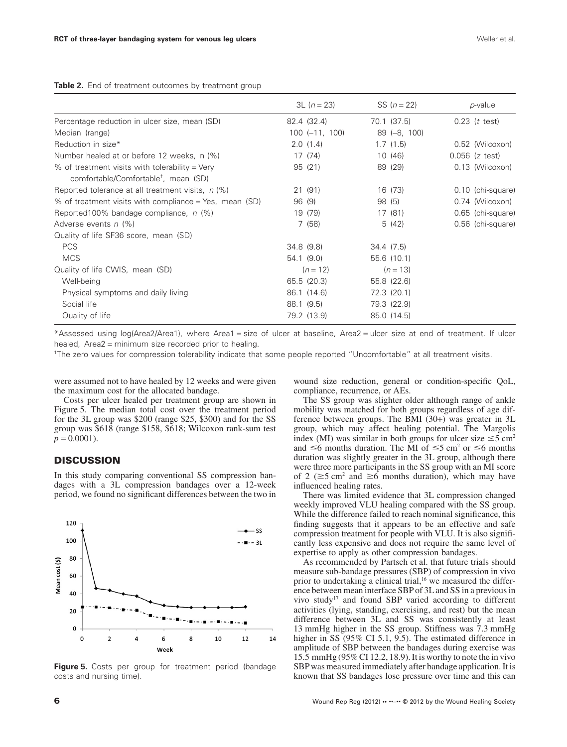|  |  |  |  |  |  | Table 2. End of treatment outcomes by treatment group |  |
|--|--|--|--|--|--|-------------------------------------------------------|--|
|--|--|--|--|--|--|-------------------------------------------------------|--|

|                                                                                                    | $3L (n = 23)$  | SS $(n = 22)$  | p-value                 |
|----------------------------------------------------------------------------------------------------|----------------|----------------|-------------------------|
| Percentage reduction in ulcer size, mean (SD)                                                      | 82.4 (32.4)    | 70.1 (37.5)    | $0.23$ ( <i>t</i> test) |
| Median (range)                                                                                     | 100 (-11, 100) | $89 (-8, 100)$ |                         |
| Reduction in size*                                                                                 | 2.0(1.4)       | 1.7(1.5)       | 0.52 (Wilcoxon)         |
| Number healed at or before 12 weeks, n (%)                                                         | 17 (74)        | 10(46)         | $0.056$ (z test)        |
| % of treatment visits with tolerability = Very<br>comfortable/Comfortable <sup>†</sup> , mean (SD) | 95 (21)        | 89 (29)        | 0.13 (Wilcoxon)         |
| Reported tolerance at all treatment visits, n (%)                                                  | 21 (91)        | 16 (73)        | 0.10 (chi-square)       |
| % of treatment visits with compliance = Yes, mean (SD)                                             | 96(9)          | 98(5)          | 0.74 (Wilcoxon)         |
| Reported 100% bandage compliance, $n$ (%)                                                          | 19 (79)        | 17 (81)        | 0.65 (chi-square)       |
| Adverse events n (%)                                                                               | 7 (58)         | 5(42)          | 0.56 (chi-square)       |
| Quality of life SF36 score, mean (SD)                                                              |                |                |                         |
| <b>PCS</b>                                                                                         | 34.8(9.8)      | 34.4 (7.5)     |                         |
| <b>MCS</b>                                                                                         | 54.1 (9.0)     | 55.6 (10.1)    |                         |
| Quality of life CWIS, mean (SD)                                                                    | $(n = 12)$     | $(n = 13)$     |                         |
| Well-being                                                                                         | 65.5 (20.3)    | 55.8 (22.6)    |                         |
| Physical symptoms and daily living                                                                 | 86.1 (14.6)    | 72.3 (20.1)    |                         |
| Social life                                                                                        | 88.1 (9.5)     | 79.3 (22.9)    |                         |
| Quality of life                                                                                    | 79.2 (13.9)    | 85.0 (14.5)    |                         |

\*Assessed using log(Area2/Area1), where Area1 = size of ulcer at baseline, Area2 = ulcer size at end of treatment. If ulcer healed, Area2 = minimum size recorded prior to healing.

† The zero values for compression tolerability indicate that some people reported "Uncomfortable" at all treatment visits.

were assumed not to have healed by 12 weeks and were given the maximum cost for the allocated bandage.

Costs per ulcer healed per treatment group are shown in Figure 5. The median total cost over the treatment period for the 3L group was \$200 (range \$25, \$300) and for the SS group was \$618 (range \$158, \$618; Wilcoxon rank-sum test  $p = 0.0001$ .

# **DISCUSSION**

In this study comparing conventional SS compression bandages with a 3L compression bandages over a 12-week period, we found no significant differences between the two in



**Figure 5.** Costs per group for treatment period (bandage costs and nursing time).

wound size reduction, general or condition-specific QoL, compliance, recurrence, or AEs.

The SS group was slighter older although range of ankle mobility was matched for both groups regardless of age difference between groups. The BMI (30+) was greater in 3L group, which may affect healing potential. The Margolis index (MI) was similar in both groups for ulcer size  $\leq 5$  cm<sup>2</sup> and  $\leq 6$  months duration. The MI of  $\leq 5$  cm<sup>2</sup> or  $\leq 6$  months duration was slightly greater in the 3L group, although there were three more participants in the SS group with an MI score of 2 ( $\geq$ 5 cm<sup>2</sup> and  $\geq$ 6 months duration), which may have influenced healing rates.

There was limited evidence that 3L compression changed weekly improved VLU healing compared with the SS group. While the difference failed to reach nominal significance, this finding suggests that it appears to be an effective and safe compression treatment for people with VLU. It is also significantly less expensive and does not require the same level of expertise to apply as other compression bandages.

As recommended by Partsch et al. that future trials should measure sub-bandage pressures (SBP) of compression in vivo prior to undertaking a clinical trial,<sup>16</sup> we measured the difference between mean interface SBP of 3L and SS in a previous in vivo study<sup>17</sup> and found SBP varied according to different activities (lying, standing, exercising, and rest) but the mean difference between 3L and SS was consistently at least 13 mmHg higher in the SS group. Stiffness was 7.3 mmHg higher in SS (95% CI 5.1, 9.5). The estimated difference in amplitude of SBP between the bandages during exercise was 15.5 mmHg (95% CI 12.2, 18.9). It is worthy to note the in vivo SBP was measured immediately after bandage application. It is known that SS bandages lose pressure over time and this can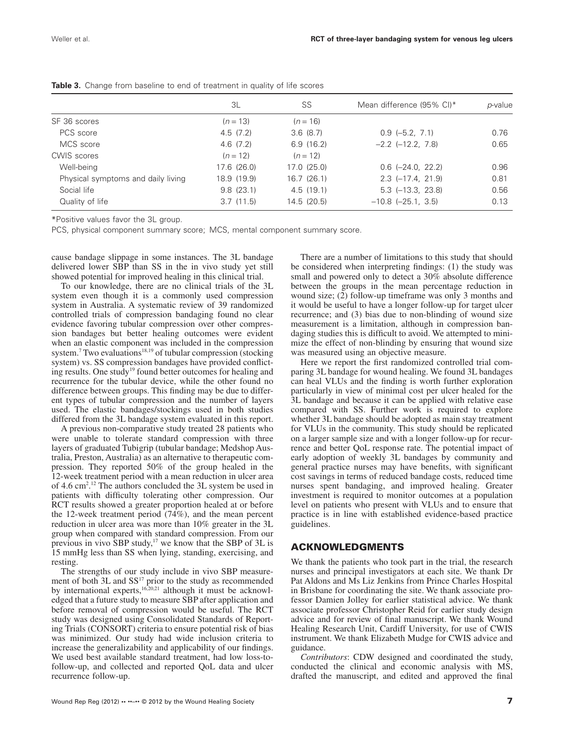|                                    | 3L          | SS          | Mean difference (95% CI)* | p-value |  |  |
|------------------------------------|-------------|-------------|---------------------------|---------|--|--|
| SF 36 scores                       | $(n = 13)$  | $(n = 16)$  |                           |         |  |  |
| PCS score                          | 4.5(7.2)    | 3.6(8.7)    | $0.9$ $(-5.2, 7.1)$       | 0.76    |  |  |
| MCS score                          | 4.6(7.2)    | 6.9(16.2)   | $-2.2$ $(-12.2, 7.8)$     | 0.65    |  |  |
| <b>CWIS</b> scores                 | $(n = 12)$  | $(n = 12)$  |                           |         |  |  |
| Well-being                         | 17.6 (26.0) | 17.0 (25.0) | $0.6$ (-24.0, 22.2)       | 0.96    |  |  |
| Physical symptoms and daily living | 18.9 (19.9) | 16.7(26.1)  | $2.3$ (-17.4, 21.9)       | 0.81    |  |  |
| Social life                        | 9.8(23.1)   | 4.5(19.1)   | $5.3$ (-13.3, 23.8)       | 0.56    |  |  |
| Quality of life                    | 3.7(11.5)   | 14.5 (20.5) | $-10.8$ $(-25.1, 3.5)$    | 0.13    |  |  |
|                                    |             |             |                           |         |  |  |

**Table 3.** Change from baseline to end of treatment in quality of life scores

\*Positive values favor the 3L group.

PCS, physical component summary score; MCS, mental component summary score.

cause bandage slippage in some instances. The 3L bandage delivered lower SBP than SS in the in vivo study yet still showed potential for improved healing in this clinical trial.

To our knowledge, there are no clinical trials of the 3L system even though it is a commonly used compression system in Australia. A systematic review of 39 randomized controlled trials of compression bandaging found no clear evidence favoring tubular compression over other compression bandages but better healing outcomes were evident when an elastic component was included in the compression system.<sup>7</sup> Two evaluations<sup>18,19</sup> of tubular compression (stocking system) vs. SS compression bandages have provided conflicting results. One study<sup>19</sup> found better outcomes for healing and recurrence for the tubular device, while the other found no difference between groups. This finding may be due to different types of tubular compression and the number of layers used. The elastic bandages/stockings used in both studies differed from the 3L bandage system evaluated in this report.

A previous non-comparative study treated 28 patients who were unable to tolerate standard compression with three layers of graduated Tubigrip (tubular bandage; Medshop Australia, Preston, Australia) as an alternative to therapeutic compression. They reported 50% of the group healed in the 12-week treatment period with a mean reduction in ulcer area of 4.6 cm<sup>2</sup>.<sup>12</sup> The authors concluded the 3L system be used in patients with difficulty tolerating other compression. Our RCT results showed a greater proportion healed at or before the 12-week treatment period (74%), and the mean percent reduction in ulcer area was more than 10% greater in the 3L group when compared with standard compression. From our previous in vivo SBP study, $17$  we know that the SBP of 3L is 15 mmHg less than SS when lying, standing, exercising, and resting.

The strengths of our study include in vivo SBP measurement of both  $3L$  and  $SS<sup>17</sup>$  prior to the study as recommended by international experts, $16,20,21$  although it must be acknowledged that a future study to measure SBP after application and before removal of compression would be useful. The RCT study was designed using Consolidated Standards of Reporting Trials (CONSORT) criteria to ensure potential risk of bias was minimized. Our study had wide inclusion criteria to increase the generalizability and applicability of our findings. We used best available standard treatment, had low loss-tofollow-up, and collected and reported QoL data and ulcer recurrence follow-up.

Wound Rep Reg (2012) •• ••–•• © 2012 by the Wound Healing Society **7** 

There are a number of limitations to this study that should be considered when interpreting findings: (1) the study was small and powered only to detect a 30% absolute difference between the groups in the mean percentage reduction in wound size; (2) follow-up timeframe was only 3 months and it would be useful to have a longer follow-up for target ulcer recurrence; and (3) bias due to non-blinding of wound size measurement is a limitation, although in compression bandaging studies this is difficult to avoid. We attempted to minimize the effect of non-blinding by ensuring that wound size was measured using an objective measure.

Here we report the first randomized controlled trial comparing 3L bandage for wound healing. We found 3L bandages can heal VLUs and the finding is worth further exploration particularly in view of minimal cost per ulcer healed for the 3L bandage and because it can be applied with relative ease compared with SS. Further work is required to explore whether 3L bandage should be adopted as main stay treatment for VLUs in the community. This study should be replicated on a larger sample size and with a longer follow-up for recurrence and better QoL response rate. The potential impact of early adoption of weekly 3L bandages by community and general practice nurses may have benefits, with significant cost savings in terms of reduced bandage costs, reduced time nurses spent bandaging, and improved healing. Greater investment is required to monitor outcomes at a population level on patients who present with VLUs and to ensure that practice is in line with established evidence-based practice guidelines.

# **ACKNOWLEDGMENTS**

We thank the patients who took part in the trial, the research nurses and principal investigators at each site. We thank Dr Pat Aldons and Ms Liz Jenkins from Prince Charles Hospital in Brisbane for coordinating the site. We thank associate professor Damien Jolley for earlier statistical advice. We thank associate professor Christopher Reid for earlier study design advice and for review of final manuscript. We thank Wound Healing Research Unit, Cardiff University, for use of CWIS instrument. We thank Elizabeth Mudge for CWIS advice and guidance.

*Contributors*: CDW designed and coordinated the study, conducted the clinical and economic analysis with MS, drafted the manuscript, and edited and approved the final